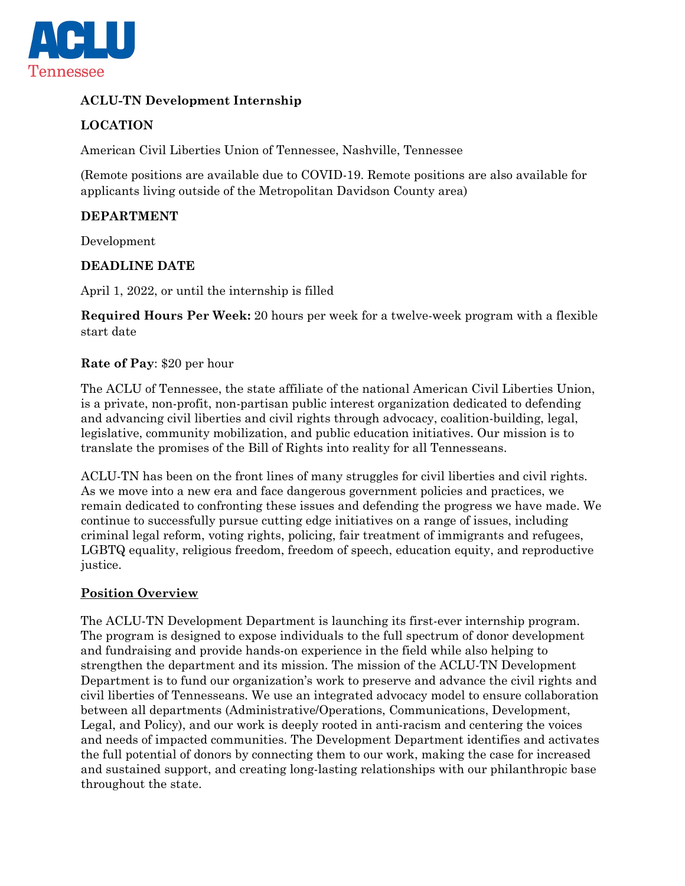

### **ACLU-TN Development Internship**

# **LOCATION**

American Civil Liberties Union of Tennessee, Nashville, Tennessee

(Remote positions are available due to COVID-19. Remote positions are also available for applicants living outside of the Metropolitan Davidson County area)

## **DEPARTMENT**

Development

### **DEADLINE DATE**

April 1, 2022, or until the internship is filled

**Required Hours Per Week:** 20 hours per week for a twelve-week program with a flexible start date

#### **Rate of Pay**: \$20 per hour

The ACLU of Tennessee, the state affiliate of the national American Civil Liberties Union, is a private, non-profit, non-partisan public interest organization dedicated to defending and advancing civil liberties and civil rights through advocacy, coalition-building, legal, legislative, community mobilization, and public education initiatives. Our mission is to translate the promises of the Bill of Rights into reality for all Tennesseans.

ACLU-TN has been on the front lines of many struggles for civil liberties and civil rights. As we move into a new era and face dangerous government policies and practices, we remain dedicated to confronting these issues and defending the progress we have made. We continue to successfully pursue cutting edge initiatives on a range of issues, including criminal legal reform, voting rights, policing, fair treatment of immigrants and refugees, LGBTQ equality, religious freedom, freedom of speech, education equity, and reproductive justice.

### **Position Overview**

The ACLU-TN Development Department is launching its first-ever internship program. The program is designed to expose individuals to the full spectrum of donor development and fundraising and provide hands-on experience in the field while also helping to strengthen the department and its mission. The mission of the ACLU-TN Development Department is to fund our organization's work to preserve and advance the civil rights and civil liberties of Tennesseans. We use an integrated advocacy model to ensure collaboration between all departments (Administrative/Operations, Communications, Development, Legal, and Policy), and our work is deeply rooted in anti-racism and centering the voices and needs of impacted communities. The Development Department identifies and activates the full potential of donors by connecting them to our work, making the case for increased and sustained support, and creating long-lasting relationships with our philanthropic base throughout the state.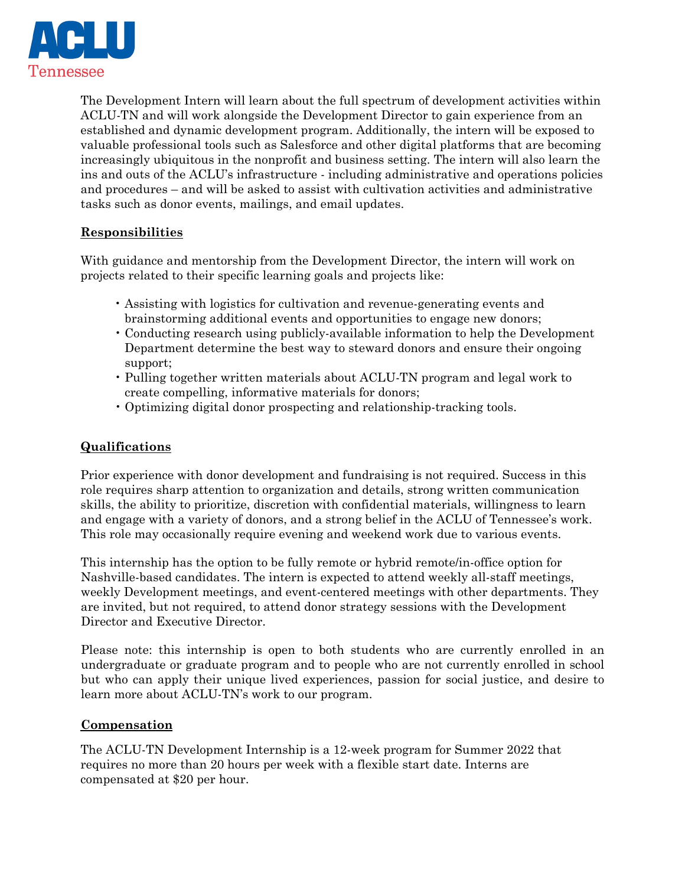

The Development Intern will learn about the full spectrum of development activities within ACLU-TN and will work alongside the Development Director to gain experience from an established and dynamic development program. Additionally, the intern will be exposed to valuable professional tools such as Salesforce and other digital platforms that are becoming increasingly ubiquitous in the nonprofit and business setting. The intern will also learn the ins and outs of the ACLU's infrastructure - including administrative and operations policies and procedures – and will be asked to assist with cultivation activities and administrative tasks such as donor events, mailings, and email updates.

### **Responsibilities**

With guidance and mentorship from the Development Director, the intern will work on projects related to their specific learning goals and projects like:

- Assisting with logistics for cultivation and revenue-generating events and brainstorming additional events and opportunities to engage new donors;
- Conducting research using publicly-available information to help the Development Department determine the best way to steward donors and ensure their ongoing support;
- Pulling together written materials about ACLU-TN program and legal work to create compelling, informative materials for donors;
- Optimizing digital donor prospecting and relationship-tracking tools.

### **Qualifications**

Prior experience with donor development and fundraising is not required. Success in this role requires sharp attention to organization and details, strong written communication skills, the ability to prioritize, discretion with confidential materials, willingness to learn and engage with a variety of donors, and a strong belief in the ACLU of Tennessee's work. This role may occasionally require evening and weekend work due to various events.

This internship has the option to be fully remote or hybrid remote/in-office option for Nashville-based candidates. The intern is expected to attend weekly all-staff meetings, weekly Development meetings, and event-centered meetings with other departments. They are invited, but not required, to attend donor strategy sessions with the Development Director and Executive Director.

Please note: this internship is open to both students who are currently enrolled in an undergraduate or graduate program and to people who are not currently enrolled in school but who can apply their unique lived experiences, passion for social justice, and desire to learn more about ACLU-TN's work to our program.

#### **Compensation**

The ACLU-TN Development Internship is a 12-week program for Summer 2022 that requires no more than 20 hours per week with a flexible start date. Interns are compensated at \$20 per hour.